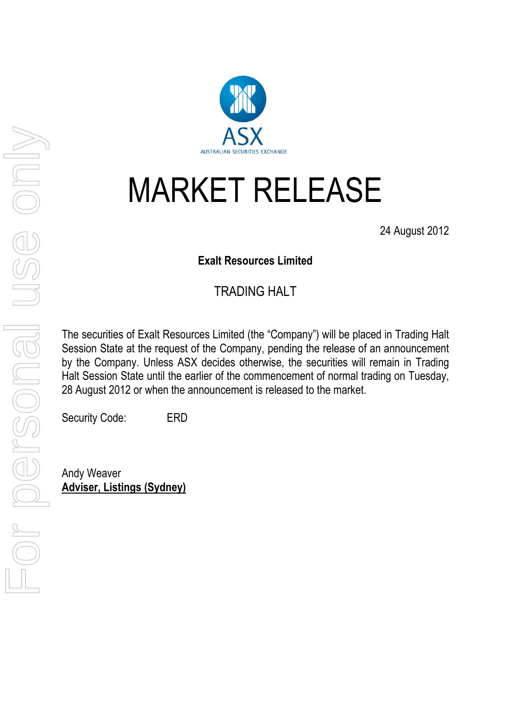

## MARKET RELEASE

24 August 2012

## **Exalt Resources Limited**

## TRADING HALT

The securities of Exalt Resources Limited (the "Company") will be placed in Trading Halt Session State at the request of the Company, pending the release of an announcement by the Company. Unless ASX decides otherwise, the securities will remain in Trading Halt Session State until the earlier of the commencement of normal trading on Tuesday, 28 August 2012 or when the announcement is released to the market.

Security Code: ERD

Andy Weaver **Adviser, Listings (Sydney)**